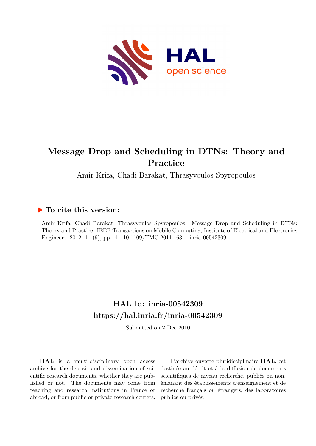

## **Message Drop and Scheduling in DTNs: Theory and Practice**

Amir Krifa, Chadi Barakat, Thrasyvoulos Spyropoulos

### **To cite this version:**

Amir Krifa, Chadi Barakat, Thrasyvoulos Spyropoulos. Message Drop and Scheduling in DTNs: Theory and Practice. IEEE Transactions on Mobile Computing, Institute of Electrical and Electronics Engineers, 2012, 11 (9), pp.14.  $10.1109/TMC.2011.163$ . inria-00542309

## **HAL Id: inria-00542309 <https://hal.inria.fr/inria-00542309>**

Submitted on 2 Dec 2010

**HAL** is a multi-disciplinary open access archive for the deposit and dissemination of scientific research documents, whether they are published or not. The documents may come from teaching and research institutions in France or abroad, or from public or private research centers.

L'archive ouverte pluridisciplinaire **HAL**, est destinée au dépôt et à la diffusion de documents scientifiques de niveau recherche, publiés ou non, émanant des établissements d'enseignement et de recherche français ou étrangers, des laboratoires publics ou privés.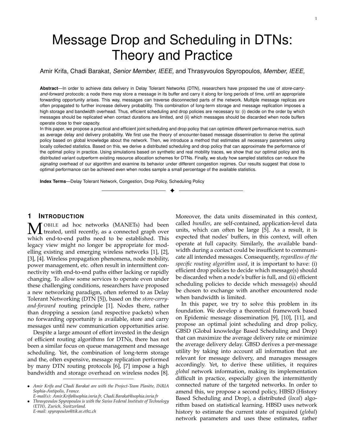# Message Drop and Scheduling in DTNs: Theory and Practice

Amir Krifa, Chadi Barakat, *Senior Member, IEEE,* and Thrasyvoulos Spyropoulos, *Member, IEEE,*

**Abstract**—In order to achieve data delivery in Delay Tolerant Networks (DTN), researchers have proposed the use of *store-carryand-forward* protocols: a node there may store a message in its buffer and carry it along for long periods of time, until an appropriate forwarding opportunity arises. This way, messages can traverse disconnected parts of the network. Multiple message replicas are often propagated to further increase delivery probability. This combination of long-term storage and message replication imposes a high storage and bandwidth overhead. Thus, efficient scheduling and drop policies are necessary to: (i) decide on the order by which messages should be replicated when contact durations are limited, and (ii) which messages should be discarded when node buffers operate close to their capacity.

In this paper, we propose a practical and efficient joint scheduling and drop policy that can optimize different performance metrics, such as average delay and delivery probability. We first use the theory of encounter-based message dissemination to derive the optimal policy based on global knowledge about the network. Then, we introduce a method that estimates all necessary parameters using locally collected statistics. Based on this, we derive a distributed scheduling and drop policy that can approximate the performance of the optimal policy in practice. Using simulations based on synthetic and real mobility traces, we show that our optimal policy and its distributed variant outperform existing resource allocation schemes for DTNs. Finally, we study how sampled statistics can reduce the *signaling* overhead of our algorithm and examine its behavior under different congestion regimes. Our results suggest that close to optimal performance can be achieved even when nodes sample a small percentage of the available statistics.

✦

**Index Terms**—Delay Tolerant Network, Congestion, Drop Policy, Scheduling Policy

#### **1 INTRODUCTION**

MOBILE ad hoc networks (MANETs) had been<br>treated, until recently, as a connected graph over which end-to-end paths need to be established. This legacy view might no longer be appropriate for modelling existing and emerging wireless networks [1], [2], [3], [4]. Wireless propagation phenomena, node mobility, power management, etc. often result in intermittent connectivity with end-to-end paths either lacking or rapidly changing. To allow some services to operate even under these challenging conditions, researchers have proposed a new networking paradigm, often referred to as Delay Tolerant Networking (DTN [5]), based on the *store-carryand-forward* routing principle [1]. Nodes there, rather than dropping a session (and respective packets) when no forwarding opportunity is available, store and carry messages until new communication opportunities arise.

Despite a large amount of effort invested in the design of efficient routing algorithms for DTNs, there has not been a similar focus on queue management and message scheduling. Yet, the combination of long-term storage and the, often expensive, message replication performed by many DTN routing protocols [6], [7] impose a high bandwidth and storage overhead on wireless nodes [8].

Moreover, the data units disseminated in this context, called *bundles*, are self-contained, application-level data units, which can often be large [5]. As a result, it is expected that nodes' buffers, in this context, will often operate at full capacity. Similarly, the available bandwidth during a contact could be insufficient to communicate all intended messages. Consequently, *regardless of the specific routing algorithm used*, it is important to have: (i) efficient drop policies to decide which message(s) should be discarded when a node's buffer is full, and (ii) efficient scheduling policies to decide which message(s) should be chosen to exchange with another encountered node when bandwidth is limited.

In this paper, we try to solve this problem in its foundation. We develop a theoretical framework based on Epidemic message dissemination [9], [10], [11], and propose an optimal joint scheduling and drop policy, GBSD (Global knowledge Based Scheduling and Drop) that can maximize the average delivery rate or minimize the average delivery delay. GBSD derives a per-message utility by taking into account all information that are relevant for message delivery, and manages messages accordingly. Yet, to derive these utilities, it requires *global* network information, making its implementation difficult in practice, especially given the intermittently connected nature of the targeted networks. In order to amend this, we propose a second policy, HBSD (History Based Scheduling and Drop), a distributed (*local*) algorithm based on statistical learning. HBSD uses network history to estimate the current state of required (*global*) network parameters and uses these estimates, rather

<sup>•</sup> *Amir Krifa and Chadi Barakat are with the Project-Team Plan`ete, INRIA Sophia-Antipolis, France.*

*E-mail(s): Amir.Krifa@sophia.inria.fr, Chadi.Barakat@sophia.inria.fr*

<sup>•</sup> *Thrasyvoulos Spyropoulos is with the Swiss Federal Institute of Technology (ETH), Zurich, Switzerland. E-mail: spyropoulos@tik.ee.ethz.ch*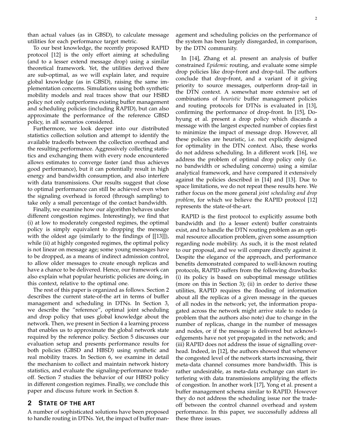than actual values (as in GBSD), to calculate message utilities for each performance target metric.

To our best knowledge, the recently proposed RAPID protocol [12] is the only effort aiming at scheduling (and to a lesser extend message drop) using a similar theoretical framework. Yet, the utilities derived there are sub-optimal, as we will explain later, and require global knowledge (as in GBSD), raising the same implementation concerns. Simulations using both synthetic mobility models and real traces show that our HSBD policy not only outperforms existing buffer management and scheduling policies (including RAPID), but can also approximate the performance of the reference GBSD policy, in all scenarios considered.

Furthermore, we look deeper into our distributed statistics collection solution and attempt to identify the available tradeoffs between the collection overhead and the resulting performance. Aggressively collecting statistics and exchanging them with every node encountered allows estimates to converge faster (and thus achieves good performance), but it can potentially result in high energy and bandwidth consumption, and also interfere with data transmissions. Our results suggest that close to optimal performance can still be achieved even when the signaling overhead is forced (through sampling) to take only a small percentage of the contact bandwidth.

Finally, we examine how our algorithm behaves under different congestion regimes. Interestingly, we find that (i) at low to moderately congested regimes, the optimal policy is simply equivalent to dropping the message with the oldest age (similarly to the findings of [[13]]), while (ii) at highly congested regimes, the optimal policy is not linear on message age; some young messages have to be dropped, as a means of indirect admission control, to allow older messages to create enough replicas and have a chance to be delivered. Hence, our framework can also explain what popular heuristic policies are doing, in this context, relative to the optimal one.

The rest of this paper is organized as follows. Section 2 describes the current state-of-the art in terms of buffer management and scheduling in DTNs. In Section 3, we describe the "reference", optimal joint scheduling and drop policy that uses global knowledge about the network. Then, we present in Section 4 a learning process that enables us to approximate the global network state required by the reference policy. Section 5 discusses our evaluation setup and presents performance results for both policies (GBSD and HBSD) using synthetic and real mobility traces. In Section 6, we examine in detail the mechanism to collect and maintain network history statistics, and evaluate the signaling-performance tradeoff. Section 7 studies the behavior of our HBSD policy in different congestion regimes. Finally, we conclude this paper and discuss future work in Section 8.

#### **2 STATE OF THE ART**

A number of sophisticated solutions have been proposed to handle routing in DTNs. Yet, the impact of buffer management and scheduling policies on the performance of the system has been largely disregarded, in comparison, by the DTN community.

In [14], Zhang et al. present an analysis of buffer constrained *Epidemic* routing, and evaluate some simple drop policies like drop-front and drop-tail. The authors conclude that drop-front, and a variant of it giving priority to source messages, outperform drop-tail in the DTN context. A somewhat more extensive set of combinations of *heuristic* buffer management policies and routing protocols for DTNs is evaluated in [13], confirming the performance of drop-front. In [15], Dohyung et al. present a drop policy which discards a message with the largest expected number of copies first to minimize the impact of message drop. However, all these policies are heuristic, i.e. not explicitly designed for optimality in the DTN context. Also, these works do not address scheduling. In a different work [16], we address the problem of optimal drop policy only (i.e. no bandwidth or scheduling concerns) using a similar analytical framework, and have compared it extensively against the policies described in [14] and [13]. Due to space limitations, we do not repeat these results here. We rather focus on the more general *joint scheduling and drop problem*, for which we believe the RAPID protocol [12] represents the state-of-the-art.

RAPID is the first protocol to explicitly assume both bandwidth and (to a lesser extent) buffer constraints exist, and to handle the DTN routing problem as an optimal resource allocation problem, given some assumption regarding node mobility. As such, it is the most related to our proposal, and we will compare directly against it. Despite the elegance of the approach, and performance benefits demonstrated compared to well-known routing protocols, RAPID suffers from the following drawbacks: (i) its policy is based on suboptimal message utilities (more on this in Section 3); (ii) in order to derive these utilities, RAPID requires the flooding of information about all the replicas of a given message in the queues of all nodes in the network; yet, the information propagated across the network might arrive stale to nodes (a problem that the authors also note) due to change in the number of replicas, change in the number of messages and nodes, or if the message is delivered but acknowledgements have not yet propagated in the network; and (iii) RAPID does not address the issue of signalling overhead. Indeed, in [12], the authors showed that whenever the congested level of the network starts increasing, their meta-data channel consumes more bandwidth. This is rather undesirable, as meta-data exchange can start interfering with data transmissions amplifying the effects of congestion. In another work [17], Yong et al. present a buffer management schema similar to RAPID. However they do not address the scheduling issue nor the tradeoff between the control channel overhead and system performance. In this paper, we successfully address all these three issues.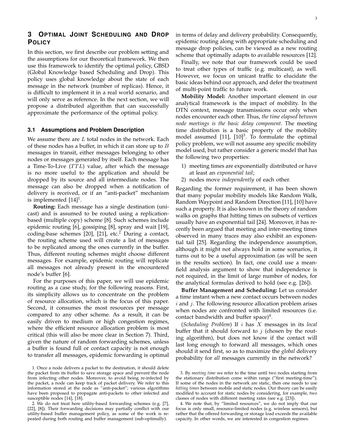In this section, we first describe our problem setting and the assumptions for our theoretical framework. We then use this framework to identify the optimal policy, GBSD (Global Knowledge based Scheduling and Drop). This policy uses global knowledge about the state of each message in the network (number of replicas). Hence, it is difficult to implement it in a real world scenario, and will only serve as reference. In the next section, we will propose a distributed algorithm that can successfully approximate the performance of the optimal policy.

#### **3.1 Assumptions and Problem Description**

We assume there are  $L$  total nodes in the network. Each of these nodes has a buffer, in which it can store up to  $B$ messages in transit, either messages belonging to other nodes or messages generated by itself. Each message has a Time-To-Live  $(TTL)$  value, after which the message is no more useful to the application and should be dropped by its source and all intermediate nodes. The message can also be dropped when a notification of delivery is received, or if an "anti-packet" mechanism is implemented  $[14]$ <sup>1</sup>.

**Routing:** Each message has a single destination (unicast) and is assumed to be routed using a replicationbased (multiple copy) scheme [8]. Such schemes include epidemic routing [6], gossiping [8], spray and wait [19], coding-base schemes  $[20]$ ,  $[21]$ , etc.<sup>2</sup> During a contact, the routing scheme used will create a list of messages to be replicated among the ones currently in the buffer. Thus, different routing schemes might choose different messages. For example, epidemic routing will replicate all messages not already present in the encountered node's buffer [6].

For the purposes of this paper, we will use epidemic routing as a case study, for the following reasons. First, its simplicity allows us to concentrate on the problem of resource allocation, which is the focus of this paper. Second, it consumes the most resources per message compared to any other scheme. As a result, it can be easily driven to medium or high congestion regimes, where the efficient resource allocation problem is most critical (this will also be more clear in Section 7). Third, given the nature of random forwarding schemes, unless a buffer is found full or contact capacity is not enough to transfer all messages, epidemic forwarding is optimal

in terms of delay and delivery probability. Consequently, epidemic routing along with appropriate scheduling and message drop policies, can be viewed as a new routing scheme that optimally adapts to available resources [12].

Finally, we note that our framework could be used to treat other types of traffic (e.g. multicast), as well. However, we focus on unicast traffic to elucidate the basic ideas behind our approach, and defer the treatment of multi-point traffic to future work.

**Mobility Model:** Another important element in our analytical framework is the impact of mobility. In the DTN context, message transmissions occur only when nodes encounter each other. Thus, *the time elapsed between node meetings is the basic delay component*. The meeting time distribution is a basic property of the mobility model assumed  $[11]$ ,  $[10]$ <sup>3</sup>. To formulate the optimal policy problem, we will not assume any specific mobility model used, but rather consider a generic model that has the following two properties:

- 1) meeting times are exponentially distributed or have at least an *exponential tail*;
- 2) nodes move *independently* of each other.

Regarding the former requirement, it has been shown that many popular mobility models like Random Walk, Random Waypoint and Random Direction [11], [10] have such a property. It is also known in the theory of random walks on graphs that hitting times on subsets of vertices usually have an exponential tail [24]. Moreover, it has recently been argued that meeting and inter-meeting times observed in many traces may also exhibit an exponential tail [25]. Regarding the independence assumption, although it might not always hold in some scenarios, it turns out to be a useful approximation (as will be seen in the results section). In fact, one could use a meanfield analysis argument to show that independence is not required, in the limit of large number of nodes, for the analytical formulas derived to hold (see e.g. [26]).

**Buffer Management and Scheduling:** Let us consider a time instant when a new contact occurs between nodes  $i$  and  $j$ . The following resource allocation problem arises when nodes are confronted with limited resources (i.e. contact bandwidth and buffer space) $4$ .

(*Scheduling Problem*) If i has X messages in its *local* buffer that it should forward to  $j$  (chosen by the routing algorithm), but does not know if the contact will last long enough to forward all messages, which ones should it send first, so as to maximize the *global* delivery probability for *all* messages currently in the network?

<sup>1.</sup> Once a node delivers a packet to the destination, it should delete the packet from its buffer to save storage space and prevent the node from infecting other nodes. Moreover, to avoid being re-infected by the packet, a node can keep track of packet delivery. We refer to this information stored at the node as "anti-packet"; various algorithms have been proposed to propagate anti-packets to other infected and susceptible nodes [14], [18].

<sup>2.</sup> We do not treat here utility-based forwarding schemes (e.g. [7], [22], [8]). Their forwarding decisions may partially conflict with our utility-based buffer management policy, as some of the work is repeated during both routing and buffer management (sub-optimally).

<sup>3.</sup> By *meeting time* we refer to the time until two nodes starting from the stationary distribution come within range ("first meeting-time"); If some of the nodes in the network are static, then one needs to use *hitting times* between mobile and static nodes. Our theory can be easily modified to account for static nodes by considering, for example, two classes of nodes with different meeting rates (see e.g. [23]).

<sup>4.</sup> We note that, by "limited resources", we do not imply that our focus is only small, resource-limited nodes (e.g. wireless sensors), but rather that the offered forwarding or storage load exceeds the available capacity. In other words, we are interested in congestion regimes.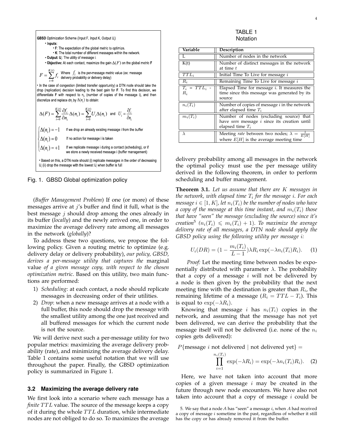GBSD Optimization Scheme (Input F, Input K, Output U<sub>i</sub>) · Inputs: • F: The expectation of the global metric to optimize. . K: The total number of different messages within the network. • Output: U.: The utility of message i. • Objective: At each contact, maximize the gain  $\Delta(F)$  on the global metric F  $F = \sum_{i=0}^{K(t)} f_i$  Where  $f_i$  is the per-message metric value (ex: message In the case of congestion (limited transfer opportunity) a DTN node should take the drop (replication) decision leading to the best gain for F. To find this decision, we differentiate F with respect to n, (number of copies of the message i), and then discretize and replace dn by  $\Delta(n_i)$  to obtain:  $\Delta(F)=\sum_{i=0}^{K(t)}\frac{\partial f_i}{\partial n_i}\,\Delta(n_i)=\sum_{i=0}^{K(t)}U_i\Delta(n_i) \ \ \text{and} \ \ U_i=\frac{\partial f_i}{\partial n_i}$  $\big(\Delta(n_{_i})\!=\!-1\!\,$  If we drop an already existing message i from the buffer If no action for message i is taken  $\Delta(n_i)=0$  $\Delta(n_i) = +1$ If we replicate message i during a contact (scheduling), or if we store a newly received message i (buffer management) · Based on this, a DTN node should (i) replicate messages in the order of decreasing  $U_i$  (ii) drop the message with the lowest  $U_i$  when buffer is full

Fig. 1. GBSD Global optimization policy

(*Buffer Management Problem*) If one (or more) of these messages arrive at  $j$ 's buffer and find it full, what is the best message  $j$  should drop among the ones already in its buffer (*locally*) and the newly arrived one, in order to maximize the average delivery rate among all messages in the network (*globally*)?

To address these two questions, we propose the following policy. Given a routing metric to optimize (e.g. delivery delay or delivery probability), *our policy, GBSD, derives a per-message utility that captures the* marginal value *of a given message copy, with respect to the chosen optimization metric*. Based on this utility, two main functions are performed:

- 1) *Scheduling*: at each contact, a node should replicate messages in decreasing order of their utilities.
- 2) *Drop*: when a new message arrives at a node with a full buffer, this node should drop the message with the smallest utility among the one just received and all buffered messages for which the current node is not the source.

We will derive next such a per-message utility for two popular metrics: maximizing the average delivery probability (rate), and minimizing the average delivery delay. Table 1 contains some useful notation that we will use throughout the paper. Finally, the GBSD optimization policy is summarized in Figure 1.

#### **3.2 Maximizing the average delivery rate**

We first look into a scenario where each message has a *finite* TTL value. The source of the message keeps a copy of it during the whole  $TTL$  duration, while intermediate nodes are not obliged to do so. To maximizes the average

TABLE 1 Notation

| Variable               | Description                                                                                                     |
|------------------------|-----------------------------------------------------------------------------------------------------------------|
| L                      | Number of nodes in the network                                                                                  |
| K(t)                   | Number of distinct messages in the network<br>at time $t$                                                       |
| $TTL_i$                | Initial Time To Live for message $i$                                                                            |
| $\overline{R_i}$       | Remaining Time To Live for message $i$                                                                          |
| $T_i = TTL_i$<br>$R_i$ | Elapsed Time for message $i$ . It measures the<br>time since this message was generated by its<br>source        |
| $n_i(T_i)$             | Number of copies of message $i$ in the network<br>after elapsed time $T_i$                                      |
| $m_i(T_i)$             | Number of nodes (excluding source) that<br>have seen message $i$ since its creation until<br>elapsed time $T_i$ |
|                        | Meeting <i>rate</i> between two nodes; $\lambda = \frac{1}{E[H]}$<br>where $E[H]$ is the average meeting time   |

delivery probability among all messages in the network the optimal policy must use the per message utility derived in the following theorem, in order to perform scheduling and buffer management.

**Theorem 3.1.** *Let us assume that there are* K *messages in the network, with elapsed time* T<sup>i</sup> *for the message* i*. For each message*  $i \in [1, K]$ , let  $n_i(T_i)$  be the number of nodes who have *a copy of the message at this time instant, and*  $m_i(T_i)$  *those that have "seen" the message (excluding the source) since it's creation*<sup>5</sup> ( $n_i(T_i) \leqslant m_i(T_i) + 1$ ). To maximize the average *delivery rate of all messages, a DTN node should apply the GBSD policy using the following utility per message* i*:*

$$
U_i(DR) = (1 - \frac{m_i(T_i)}{L - 1})\lambda R_i \exp(-\lambda n_i(T_i)R_i).
$$
 (1)

*Proof:* Let the meeting time between nodes be exponentially distributed with parameter  $\lambda$ . The probability that a copy of a message  $i$  will not be delivered by a node is then given by the probability that the next meeting time with the destination is greater than  $R_i$ , the remaining lifetime of a message  $(R_i = TTL - T_i)$ . This is equal to  $\exp(-\lambda R_i)$ .

Knowing that message *i* has  $n_i(T_i)$  copies in the network, and assuming that the message has not yet been delivered, we can derive the probability that the message itself will not be delivered (i.e. none of the  $n_i$ copies gets delivered):

$$
P{\text{message } i \text{ not delivered } | \text{ not delivered yet}} =
$$

$$
\prod_{i=1}^{n_i(T_i)} \exp(-\lambda R_i) = \exp(-\lambda n_i(T_i)R_i). \quad (2)
$$

Here, we have not taken into account that more copies of a given message  $i$  may be created in the future through new node encounters. We have also not taken into account that a copy of message  $i$  could be

<sup>5.</sup> We say that a node *A* has "seen" a message i, when A had received a copy of message  $i$  sometime in the past, regardless of whether it still has the copy or has already removed it from the buffer.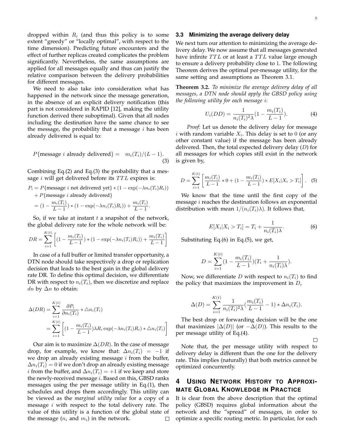$\Box$ 

dropped within  $R_i$  (and thus this policy is to some extent "greedy" or "locally optimal", with respect to the time dimension). Predicting future encounters and the effect of further replicas created complicates the problem significantly. Nevertheless, the same assumptions are applied for all messages equally and thus can justify the relative comparison between the delivery probabilities for different messages.

We need to also take into consideration what has happened in the network since the message generation, in the absence of an explicit delivery notification (this part is not considered in RAPID [12], making the utility function derived there suboptimal). Given that all nodes including the destination have the same chance to see the message, the probability that a message  $i$  has been already delivered is equal to:

$$
P{\text{message } i \text{ already delivered}} = m_i(T_i)/(L-1).
$$
\n(3)

Combining Eq.(2) and Eq.(3) the probability that a message  $i$  will get delivered before its  $TTL$  expires is:

$$
P_i = P\{\text{message } i \text{ not delivered yet}\} * (1 - \exp(-\lambda n_i(T_i)R_i))
$$
  
+ 
$$
P\{\text{message } i \text{ already delivered}\}
$$

$$
= (1 - \frac{m_i(T_i)}{L-1}) * (1 - \exp(-\lambda n_i(T_i)R_i)) + \frac{m_i(T_i)}{L-1}.
$$

So, if we take at instant  $t$  a snapshot of the network, the global delivery rate for the whole network will be:

$$
DR = \sum_{i=1}^{K(t)} \left[ (1 - \frac{m_i(T_i)}{L - 1}) * (1 - \exp(-\lambda n_i(T_i) R_i)) + \frac{m_i(T_i)}{L - 1} \right]
$$

In case of a full buffer or limited transfer opportunity, a DTN node should take respectively a drop or replication decision that leads to the best gain in the global delivery rate DR. To define this optimal decision, we differentiate DR with respect to  $n_i(T_i)$ , then we discretize and replace dn by  $\Delta n$  to obtain:

$$
\Delta(DR) = \sum_{i=1}^{K(t)} \frac{\partial P_i}{\partial n_i(T_i)} * \Delta n_i(T_i)
$$
  
= 
$$
\sum_{i=1}^{K(t)} \left[ (1 - \frac{m_i(T_i)}{L - 1}) \lambda R_i \exp(-\lambda n_i(T_i) R_i) * \Delta n_i(T_i) \right]
$$

Our aim is to maximize  $\Delta(DR)$ . In the case of message drop, for example, we know that:  $\Delta n_i(T_i) = -1$  if we drop an already existing message  $i$  from the buffer,  $\Delta n_i(T_i) = 0$  if we don't drop an already existing message *i* from the buffer, and  $\Delta n_i(T_i) = +1$  if we keep and store the newly-received message  $i$ . Based on this, GBSD ranks messages using the per message utility in Eq.(1), then schedules and drops them accordingly. This utility can be viewed as the *marginal utility value* for a copy of a message  $i$  with respect to the total delivery rate. The value of this utility is a function of the global state of the message  $(n_i \text{ and } m_i)$  in the network.  $\Box$ 

#### **3.3 Minimizing the average delivery delay**

We next turn our attention to minimizing the average delivery delay. We now assume that all messages generated have infinite  $TTL$  or at least a  $TTL$  value large enough to ensure a delivery probability close to 1. The following Theorem derives the optimal per-message utility, for the same setting and assumptions as Theorem 3.1.

**Theorem 3.2.** *To minimize the average delivery delay of all messages, a DTN node should apply the GBSD policy using the following utility for each message* i*:*

$$
U_i(DD) = \frac{1}{n_i(T_i)^2 \lambda} (1 - \frac{m_i(T_i)}{L - 1}).
$$
 (4)

*Proof:* Let us denote the delivery delay for message *i* with random variable  $X_i$ . This delay is set to 0 (or any other constant value) if the message has been already delivered. Then, the total expected delivery delay  $(D)$  for all messages for which copies still exist in the network is given by,

$$
D = \sum_{i=1}^{K(t)} \left[ \frac{m_i(T_i)}{L-1} * 0 + (1 - \frac{m_i(T_i)}{L-1}) * E[X_i | X_i > T_i] \right]. \tag{5}
$$

We know that the time until the first copy of the message  $i$  reaches the destination follows an exponential distribution with mean  $1/(n_i(T_i)\lambda)$ . It follows that,

$$
E[X_i|X_i > T_i] = T_i + \frac{1}{n_i(T_i)\lambda}.
$$
\n
$$
(6)
$$

Substituting Eq.(6) in Eq.(5), we get,

$$
D = \sum_{i=1}^{K(t)} (1 - \frac{m_i(T_i)}{L - 1})(T_i + \frac{1}{n_i(T_i)\lambda}).
$$

Now, we differentiate D with respect to  $n_i(T_i)$  to find the policy that maximizes the improvement in  $D<sub>t</sub>$ 

$$
\Delta(D) = \sum_{i=1}^{K(t)} \frac{1}{n_i(T_i)^2 \lambda} (\frac{m_i(T_i)}{L-1} - 1) * \Delta n_i(T_i).
$$

The best drop or forwarding decision will be the one that maximizes  $|\Delta(D)|$  (or  $-\Delta(D)$ ). This results to the per message utility of Eq.(4).

Note that, the per message utility with respect to delivery delay is different than the one for the delivery rate. This implies (naturally) that both metrics cannot be optimized concurrently.

#### **4 USING NETWORK HISTORY TO APPROXI-MATE GLOBAL KNOWLEDGE IN PRACTICE**

It is clear from the above description that the optimal policy (GBSD) requires global information about the network and the "spread" of messages, in order to optimize a specific routing metric. In particular, for each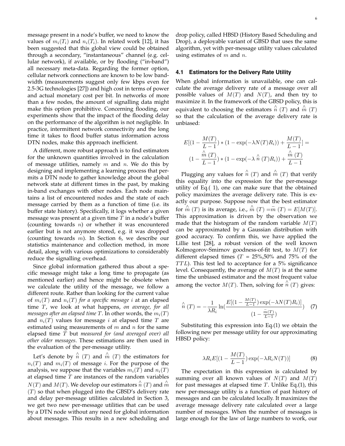message present in a node's buffer, we need to know the values of  $m_i(T_i)$  and  $n_i(T_i)$ . In related work [12], it has been suggested that this global view could be obtained through a secondary, "instantaneous" channel (e.g. cellular network), if available, or by flooding ("in-band") all necessary meta-data. Regarding the former option, cellular network connections are known to be low bandwidth (measurements suggest only few kbps even for 2.5-3G technologies [27]) and high cost in terms of power and actual monetary cost per bit. In networks of more than a few nodes, the amount of signalling data might make this option prohibitive. Concerning flooding, our experiments show that the impact of the flooding delay on the performance of the algorithm is not negligible. In practice, intermittent network connectivity and the long time it takes to flood buffer status information across DTN nodes, make this approach inefficient.

A different, more robust approach is to find estimators for the unknown quantities involved in the calculation of message utilities, namely  $m$  and  $n$ . We do this by designing and implementing a learning process that permits a DTN node to gather knowledge about the global network state at different times in the past, by making in-band exchanges with other nodes. Each node maintains a list of encountered nodes and the state of each message carried by them as a function of time (i.e. its buffer state history). Specifically, it logs whether a given message was present at a given time  $T$  in a node's buffer (counting towards  $n$ ) or whether it was encountered earlier but is not anymore stored, e.g. it was dropped (counting towards  $m$ ). In Section 6, we describe our statistics maintenance and collection method, in more detail, along with various optimizations to considerably reduce the signalling overhead.

Since global information gathered thus about a specific message might take a long time to propagate (as mentioned earlier) and hence might be obsolete when we calculate the utility of the message, we follow a different route. Rather than looking for the current value of  $m_i(T)$  and  $n_i(T)$  *for a specific message i* at an elapsed time T, we look at what happens, *on average, for all messages after an elapsed time*  $T$ . In other words, the  $m_i(T)$ and  $n_i(T)$  values for message i at elapsed time T are estimated using measurements of  $m$  and  $n$  for the same elapsed time T but *measured for (and averaged over) all other older messages*. These estimations are then used in the evaluation of the per-message utility.

Let's denote by  $\stackrel{\wedge}{n}(T)$  and  $\stackrel{\wedge}{m}(T)$  the estimators for  $n_i(T)$  and  $m_i(T)$  of message *i*. For the purpose of the analysis, we suppose that the variables  $m_i(T)$  and  $n_i(T)$ at elapsed time  $T$  are instances of the random variables  $N(T)$  and  $M(T)$ . We develop our estimators  $\hat{n}(T)$  and  $\hat{m}$  $(T)$  so that when plugged into the GBSD's delivery rate and delay per-message utilities calculated in Section 3, we get two new per-message utilities that can be used by a DTN node without any need for global information about messages. This results in a new scheduling and

drop policy, called HBSD (History Based Scheduling and Drop), a deployable variant of GBSD that uses the same algorithm, yet with per-message utility values calculated using estimates of  $m$  and  $n$ .

#### **4.1 Estimators for the Delivery Rate Utility**

When global information is unavailable, one can calculate the average delivery rate of a message over all possible values of  $M(T)$  and  $N(T)$ , and then try to maximize it. In the framework of the GBSD policy, this is equivalent to choosing the estimators  $\hat{n}(T)$  and  $\hat{m}(T)$ so that the calculation of the average delivery rate is unbiased:

$$
E[(1 - \frac{M(T)}{L - 1}) * (1 - \exp(-\lambda N(T)R_i)) + \frac{M(T)}{L - 1}] =
$$
  

$$
(1 - \frac{\hat{m}(T)}{L - 1}) * (1 - \exp(-\lambda \hat{n}(T)R_i)) + \frac{\hat{m}(T)}{L - 1}
$$

Plugging any values for  $\stackrel{\wedge}{n}(T)$  and  $\stackrel{\wedge}{m}(T)$  that verify this equality into the expression for the per-message utility of Eq.( 1), one can make sure that the obtained policy maximizes the average delivery rate. This is exactly our purpose. Suppose now that the best estimator for  $\hat{m}(T)$  is its average, i.e.,  $\hat{m}(T) = \overline{m}(T) = E[M(T)].$ This approximation is driven by the observation we made that the histogram of the random variable  $M(T)$ can be approximated by a Gaussian distribution with good accuracy. To confirm this, we have applied the Lillie test [28], a robust version of the well known Kolmogorov-Smirnov goodness-of-fit test, to  $M(T)$  for different elapsed times ( $T = 25\%, 50\%$  and 75% of the  $TTL$ ). This test led to acceptance for a 5% significance level. Consequently, the average of  $M(T)$  is at the same time the unbiased estimator and the most frequent value among the vector  $M(T)$ . Then, solving for  $\overrightarrow{n}(T)$  gives:

$$
\hat{n}(T) = -\frac{1}{\lambda R_i} \ln\left(\frac{E[(1 - \frac{M(T)}{L-1}) \exp(-\lambda N(T)R_i)]}{(1 - \frac{\bar{m}(T)}{L-1})}\right) (7)
$$

Substituting this expression into Eq.(1) we obtain the following new per message utility for our approximating HBSD policy:

$$
\lambda R_i E[(1 - \frac{M(T)}{L - 1}) \exp(-\lambda R_i N(T))]
$$
 (8)

The expectation in this expression is calculated by summing over all known values of  $N(T)$  and  $M(T)$ for past messages at elapsed time  $T$ . Unlike Eq.(1), this new per-message utility is a function of past history of messages and can be calculated locally. It maximizes the average message delivery rate calculated over a large number of messages. When the number of messages is large enough for the law of large numbers to work, our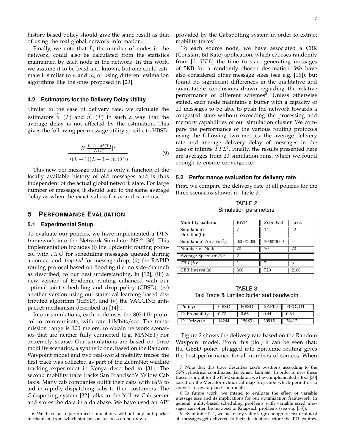history based policy should give the same result as that of using the real global network information.

Finally, we note that  $L$ , the number of nodes in the network, could also be calculated from the statistics maintained by each node in the network. In this work, we assume it to be fixed and known, but one could estimate it similar to n and  $m$ , or using different estimation algorithms like the ones proposed in [29].

#### **4.2 Estimators for the Delivery Delay Utility**

Similar to the case of delivery rate, we calculate the estimators  $\stackrel{\wedge}{n}(T)$  and  $\stackrel{\wedge}{m}(T)$  in such a way that the average delay is not affected by the estimation. This gives the following per-message utility specific to HBSD,

$$
\frac{E\left[\frac{L-1-M(T)}{N(T)}\right]^2}{\lambda(L-1)(L-1-\bar{m}(T))}
$$
\n(9)

This new per-message utility is only a function of the locally available history of old messages and is thus independent of the actual global network state. For large number of messages, it should lead to the same average delay as when the exact values for  $m$  and  $n$  are used.

#### **5 PERFORMANCE EVALUATION**

#### **5.1 Experimental Setup**

To evaluate our policies, we have implemented a DTN framework into the Network Simulator NS-2 [30]. This implementation includes (i) the Epidemic routing protocol with *FIFO* for scheduling messages queued during a contact and *drop-tail* for message drop, (ii) the RAPID routing protocol based on flooding (i.e. no side-channel) as described, to our best understanding, in [12], (iii) a new version of Epidemic routing enhanced with our optimal joint scheduling and drop policy (GBSD), (iv) another version using our statistical learning based distributed algorithm (HBSD), and (v) the VACCINE antipacket mechanism described in [14]<sup>6</sup>.

In our simulations, each node uses the 802.11b protocol to communicate, with rate 11Mbits/sec. The transmission range is 100 meters, to obtain network scenarios that are neither fully connected (e.g. MANET) nor extremely sparse. Our simulations are based on three mobility scenarios, a synthetic one, based on the Random Waypoint model and two real-world mobility traces: the first trace was collected as part of the ZebraNet wildlife tracking experiment in Kenya described in [31]. The second mobility trace tracks San Francisco's Yellow Cab taxis. Many cab companies outfit their cabs with *GPS* to aid in rapidly dispatching cabs to their costumers. The Cabspotting system [32] talks to the Yellow Cab server and stores the data in a database. We have used an API

6. We have also performed simulations without any anti-packet mechanism, from which similar conclusions can be drawn.

provided by the Cabspotting system in order to extract mobility traces<sup>7</sup>.

To each source node, we have associated a CBR (Constant Bit Rate) application, which chooses randomly from  $[0, TTL]$  the time to start generating messages of 5KB for a randomly chosen destination. We have also considered other message sizes (see e.g. [16]), but found no significant differences in the qualitative and quantitative conclusions drawn regarding the relative performance of different schemes<sup>8</sup>. Unless otherwise stated, each node maintains a buffer with a capacity of 20 messages to be able to push the network towards a congested state without exceeding the processing and memory capabilities of our simulation cluster. We compare the performance of the various routing protocols using the following two metrics: the average delivery rate and average delivery delay of messages in the case of infinite  $TTL<sup>9</sup>$ . Finally, the results presented here are averages from 20 simulation runs, which we found enough to ensure convergence.

#### **5.2 Performance evaluation for delivery rate**

First, we compare the delivery rate of all policies for the three scenarios shown in Table 2.

TABLE 2 Simulation parameters

| Mobility pattern:            | <b>RWP</b> | ZebraNet  | Taxis |
|------------------------------|------------|-----------|-------|
| Simulation's<br>Duration(h): |            | 14        | 42    |
| Simulation' Area $(m^2)$ :   | 3000*3000  | 3000*3000 |       |
| Number of Nodes:             | 70         | 70        | 70    |
| Average Speed $(m/s)$ :      | 7          |           |       |
| $TTL(h)$ :                   |            | 2         |       |
| CBR Interval(s):             | 360        | 720       | 2160  |

TABLE 3 Taxi Trace & Limited buffer and bandwidth

| Policy:            | <b>GBSD</b> | <b>HBSD</b> | RAPID | FIFO\DT |
|--------------------|-------------|-------------|-------|---------|
| D. Probability:    | 0.72        | 0.66        | 0.44  | 0.34    |
| $D.$ Delay $(s)$ : |             | 15683       | 20915 | 36412   |

Figure 2 shows the delivery rate based on the Random Waypoint model. From this plot, it can be seen that: the GBSD policy plugged into Epidemic routing gives the best performance for all numbers of sources. When

8. In future work, we intend to evaluate the effect of variable message size and its implications for our optimization framework. In general, utility-based scheduling problems with variable sized messages can often be mapped to Knapsack problems (see e.g. [33]).

9. By infinite TTL, we mean any value large enough to ensure almost all messages get delivered to their destination before the TTL expires.

<sup>7.</sup> Note that this trace describes taxi's positions according to the *GPS* cylindrical coordinates (*Longitude*, *Latitude*). In order to uses these traces as input for the NS-2 simulator, we have implemented a tool [30] based on the Mercator cylindrical map projection which permit us to convert traces to plane coordinates.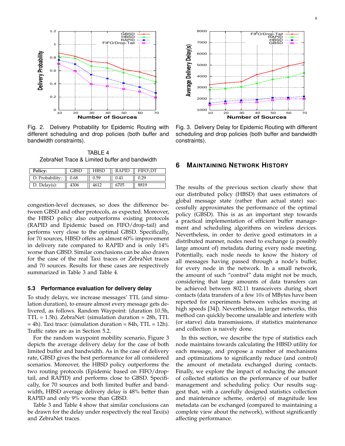

Fig. 2. Delivery Probability for Epidemic Routing with different scheduling and drop policies (both buffer and bandwidth constraints).

TABLE 4 ZebraNet Trace & Limited buffer and bandwidth

| Policy:            | GBSD | HBSD | <b>RAPID</b> | FIFO\DT |
|--------------------|------|------|--------------|---------|
| D. Probability:    | 0.68 | 0.59 | 0.41         |         |
| $D.$ Delay $(s)$ : | 4306 |      | 6705         |         |

congestion-level decreases, so does the difference between GBSD and other protocols, as expected. Moreover, the HBSD policy also outperforms existing protocols (RAPID and Epidemic based on FIFO/drop-tail) and performs very close to the optimal GBSD. Specifically, for 70 sources, HBSD offers an almost 60% improvement in delivery rate compared to RAPID and is only 14% worse than GBSD. Similar conclusions can be also drawn for the case of the real Taxi traces or ZebraNet traces and 70 sources. Results for these cases are respectively summarized in Table 3 and Table 4. Fig. 2. Delivery Residential Scheme and Consumer of Sources.<br>
Fig. 2. Delivery Probability for Epidemic Routing with Fig. 3. Deliver<br>
differenti scheduling and drop policies. (both buffer and scheduling and<br>
The Consumber

#### **5.3 Performance evaluation for delivery delay**

To study delays, we increase messages' TTL (and simulation duration), to ensure almost every message gets delivered, as follows. Random Waypoint: (duration 10.5h, TTL = 1.5h). ZebraNet: (simulation duration = 28h, TTL  $=$  4h). Taxi trace: (simulation duration  $=$  84h, TTL  $=$  12h). Traffic rates are as in Section 5.2.

For the random waypoint mobility scenario, Figure 3 depicts the average delivery delay for the case of both limited buffer and bandwidth. As in the case of delivery rate, GBSD gives the best performance for all considered scenarios. Moreover, the HBSD policy outperforms the two routing protocols (Epidemic based on FIFO/droptail, and RAPID) and performs close to GBSD. Specifically, for 70 sources and both limited buffer and bandwidth, HBSD average delivery delay is 48% better than RAPID and only 9% worse than GBSD.

Table 3 and Table 4 show that similar conclusions can be drawn for the delay under respectively the real Taxi(s)



Fig. 3. Delivery Delay for Epidemic Routing with different scheduling and drop policies (both buffer and bandwidth constraints).

#### **6 MAINTAINING NETWORK HISTORY**

The results of the previous section clearly show that our distributed policy (HBSD) that uses estimators of global message state (rather than actual state) successfully approximates the performance of the optimal policy (GBSD). This is as an important step towards a practical implementation of efficient buffer management and scheduling algorithms on wireless devices. Nevertheless, in order to derive good estimators in a distributed manner, nodes need to exchange (a possibly large amount of) metadata during every node meeting. Potentially, each node needs to know the history of all messages having passed through a node's buffer, for every node in the network. In a small network, the amount of such "control" data might not be much, considering that large amounts of data transfers can be achieved between 802.11 transceivers during short contacts (data transfers of a few 10s of MBytes have been reported for experiments between vehicles moving at high speeds [34]). Nevertheless, in larger networks, this method can quickly become unsalable and interfere with (or starve) data transmissions, if statistics maintenance and collection is naively done.

In this section, we describe the type of statistics each node maintains towards calculating the HBSD utility for each message, and propose a number of mechanisms and optimizations to significantly reduce (and control) the amount of metadata exchanged during contacts. Finally, we explore the impact of reducing the amount of collected statistics on the performance of our buffer management and scheduling policy. Our results suggest that, with a carefully designed statistics collection and maintenance scheme, order(s) of magnitude less metadata can be exchanged (compared to maintaining a complete view about the network), without significantly affecting performance.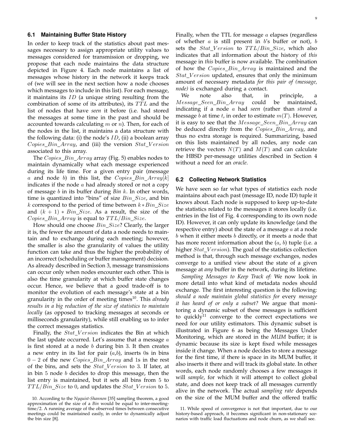#### **6.1 Maintaining Buffer State History**

In order to keep track of the statistics about past messages necessary to assign appropriate utility values to messages considered for transmission or dropping, we propose that each node maintains the data structure depicted in Figure 4. Each node maintains a list of messages whose history in the network it keeps track of (we will see in the next section how a node chooses which messages to include in this list). For each message, it maintains its  $ID$  (a unique string resulting from the combination of some of its attributes), its  $TTL$  and the list of nodes that have *seen* it before (i.e. had stored the messages at some time in the past and should be accounted towards calculating  $m$  or  $n$ ). Then, for each of the nodes in the list, it maintains a data structure with the following data: (i) the node's  $ID$ , (ii) a boolean array  $Copies\_Bin\_Array$ , and (iii) the version  $Stat\_Version$ associated to this array.

The Copies\_Bin\_Array array (Fig. 5) enables nodes to maintain dynamically what each message experienced during its life time. For a given entry pair (message a and node b) in this list, the  $Copies\_Bin\_Array[k]$ indicates if the node  $a$  had already stored or not a copy of message b in its buffer during *Bin* k. In other words, time is quantized into "bins" of size  $Bin\_Size$ , and bin k correspond to the period of time between  $k * Bin\_Size$ and  $(k + 1) * Bin\_Size$ . As a result, the size of the  $Copies\_Bin\_Array$  is equal to  $TTL/Bin\_Size$ .

How should one choose  $Bin\_Size$ ? Clearly, the larger it is, the fewer the amount of data a node needs to maintain and to exchange during each meeting; however, the smaller is also the granularity of values the utility function can take and thus the higher the probability of an incorrect (scheduling or buffer management) decision. As already described in Section 3, message transmissions can occur only when nodes encounter each other. This is also the time granularity at which buffer state changes occur. Hence, we believe that a good trade-off is to monitor the evolution of each message's state at a bin granularity in the order of meeting times<sup>10</sup>. This *already results in a big reduction of the size of statistics to maintain locally* (as opposed to tracking messages at seconds or milliseconds granularity), while still enabling us to infer the correct messages statistics.

Finally, the  $Stat\_Version$  indicates the Bin at which the last update occurred. Let's assume that a message  $a$ is first stored at a node  $b$  during bin 3. It then creates a new entry in its list for pair  $(a,b)$ , inserts 0s in bins  $0 - 2$  of the new *Copies\_Bin\_Array* and 1s in the rest of the bins, and sets the  $Stat\_Version$  to 3. If later, at in bin 5 node b decides to drop this message, then the list entry is maintained, but it sets all bins from 5 to  $TTL/Bin\_Size$  to 0, and updates the  $Stat\_Version$  to 5.

Finally, when the TTL for message  $a$  elapses (regardless of whether  $a$  is still present in  $b$ 's buffer or not),  $b$ sets the  $Stat\_Version$  to  $TTL/Bin\_Size$ , which also indicates that all information about the history of *this* message in *this* buffer is now available. The combination of how the  $Copies\_Bin\_Array$  is maintained and the  $Stat\_Version$  updated, ensures that only the minimum amount of necessary metadata *for this pair of (message, node)* is exchanged during a contact.

We note also that, in principle, a Message\_Seen\_Bin\_Array could be maintained, indicating if a node a had *seen* (rather than *stored* a message b at time t, in order to estimate  $m(T)$ . However, it is easy to see that the Message\_Seen\_Bin\_Array can be deduced directly from the  $Copies_Bin\_Array$ , and thus no extra storage is required. Summarizing, based on this lists maintained by all nodes, any node can retrieve the vectors  $N(T)$  and  $M(T)$  and can calculate the HBSD per-message utilities described in Section 4 without a need for an *oracle*.

#### **6.2 Collecting Network Statistics**

We have seen so far what types of statistics each node maintains about each past (message ID, node ID) tuple it knows about. Each node is supposed to keep up-to-date the statistics related to the messages it stores locally (i.e. entries in the list of Fig. 4 corresponding to its own node ID). However, it can only update its knowledge (and the respective entry) about the state of a message  $a$  at a node b when it either meets b directly, or it meets a node that has more recent information about the  $(a, b)$  tuple (i.e. a higher  $Stat\_Version$ ). The goal of the statistics collection method is that, through such message exchanges, nodes converge to a unified view about the state of a given message at *any* buffer in the network, during its lifetime.

*Sampling Messages to Keep Track of:* We now look in more detail into what kind of metadata nodes should exchange. The first interesting question is the following: *should a node maintain global statistics for* every *message it has heard of or only a subset?* We argue that monitoring a dynamic subset of these messages is sufficient to quickly<sup>11</sup> converge to the correct expectations we need for our utility estimators. This dynamic subset is illustrated in Figure 6 as being the Messages Under Monitoring, which are stored in the *MUM* buffer; it is dynamic because its size is kept fixed while messages inside it change. When a node decides to store a message for the first time, if there is space in its MUM buffer, it also inserts it there and will track its global state. In other words, each node randomly chooses a few messages it will *sample*, for which it will attempt to collect global state, and does not keep track of all messages currently alive in the network. The actual *sampling rate* depends on the size of the MUM buffer and the offered traffic

<sup>10.</sup> According to the *Nyquist-Shannon* [35] sampling theorem, a good approximation of the size of a *Bin* would be equal to inter-meetingtime/2. A running average of the observed times between consecutive meetings could be maintained easily, in order to dynamically adjust the bin size [8].

<sup>11.</sup> While speed of convergence is not that important, due to our history-based approach, it becomes significant in non-stationary scenarios with traffic load fluctuations and node churn, as we shall see.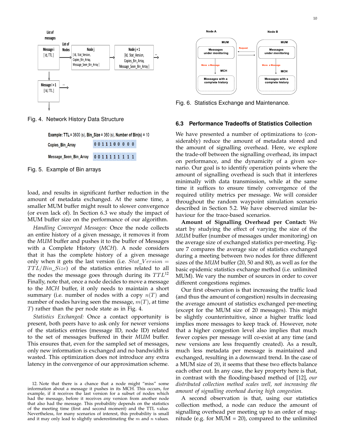

Fig. 4. Network History Data Structure

**Example: TTL** =  $3600$  (s), Bin\_Size =  $360$  (s), Number of Bin(s) =  $10$ 0011100000 Copies Bin Array

Message\_Seen\_Bin\_Array 0011111111

Fig. 5. Example of Bin arrays

load, and results in significant further reduction in the amount of metadata exchanged. At the same time, a smaller MUM buffer might result to slower convergence (or even lack of). In Section 6.3 we study the impact of MUM buffer size on the performance of our algorithm.

*Handling Converged Messages:* Once the node collects an entire history of a given message, it removes it from the *MUM* buffer and pushes it to the buffer of Messages with a Complete History (*MCH*). A node considers that it has the complete history of a given message only when it gets the last version (i.e.  $Stat\_Version =$  $TTL/Bin\_Size$ ) of the statistics entries related to all the nodes the message goes through during its  $TTL^{12}$ Finally, note that, once a node decides to move a message to the *MCH* buffer, it only needs to maintain a short summary (i.e. number of nodes with a copy  $n(T)$  and number of nodes having seen the message,  $m(T)$ , at time T) rather than the per node state as in Fig. 4.

*Statistics Exchanged:* Once a contact opportunity is present, both peers have to ask only for newer versions of the statistics entries (message ID, node ID) related to the set of messages buffered in their *MUM* buffer. This ensures that, even for the sampled set of messages, only new information is exchanged and no bandwidth is wasted. This optimization does not introduce any extra latency in the convergence of our approximation scheme.



Fig. 6. Statistics Exchange and Maintenance.

#### **6.3 Performance Tradeoffs of Statistics Collection**

We have presented a number of optimizations to (considerably) reduce the amount of metadata stored and the amount of signalling overhead. Here, we explore the trade-off between the signalling overhead, its impact on performance, and the dynamicity of a given scenario. Our goal is to identify operation points where the amount of signalling overhead is such that it interferes minimally with data transmission, while at the same time it suffices to ensure timely convergence of the required utility metrics per message. We will consider throughout the random waypoint simulation scenario described in Section 5.2. We have observed similar behaviour for the trace-based scenarios.

**Amount of Signalling Overhead per Contact:** We start by studying the effect of varying the size of the *MUM* buffer (number of messages under monitoring) on the average size of exchanged statistics per-meeting. Figure 7 compares the average size of statistics exchanged during a meeting between two nodes for three different sizes of the *MUM* buffer (20, 50 and 80), as well as for the basic epidemic statistics exchange method (i.e. unlimited MUM). We vary the number of sources in order to cover different congestions regimes.

Our first observation is that increasing the traffic load (and thus the amount of congestion) results in decreasing the average amount of statistics exchanged per-meeting (except for the MUM size of 20 messages). This might be slightly counterintuitive, since a higher traffic load implies more messages to keep track of. However, note that a higher congestion level also implies that much fewer copies per message will co-exist at any time (and new versions are less frequently created). As a result, much less metadata per message is maintained and exchanged, resulting in a downward trend. In the case of a MUM size of 20, it seems that these two effects balance each other out. In any case, the key property here is that, in contrast with the flooding-based method of [12], *our distributed collection method scales well, not increasing the amount of signalling overhead during high congestion.*

A second observation is that, using our statistics collection method, a node can reduce the amount of signalling overhead per meeting up to an order of magnitude (e.g. for  $MUM = 20$ ), compared to the unlimited

<sup>12.</sup> Note that there is a chance that a node might "miss" some information about a message it pushes in its MCH. This occurs, for example, if it receives the last version for a subset of nodes which had the message, before it receives *any* version from another node that also had the message. This probability depends on the statistics of the meeting time (first and second moment) and the TTL value. Nevertheless, for many scenarios of interest, this probability is small and it may only lead to slightly underestimating the  $m$  and  $n$  values.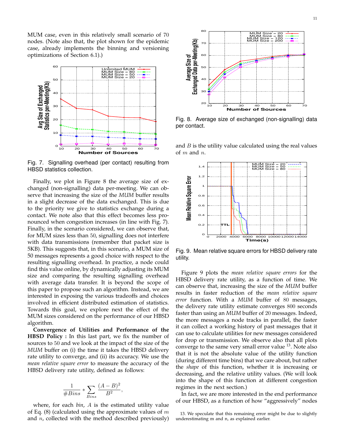MUM case, even in this relatively small scenario of 70 nodes. (Note also that, the plot shown for the epidemic case, already implements the binning and versioning optimizations of Section 6.1).)



Fig. 7. Signalling overhead (per contact) resulting from HBSD statistics collection.

Finally, we plot in Figure 8 the average size of exchanged (non-signalling) data per-meeting. We can observe that increasing the size of the *MUM* buffer results in a slight decrease of the data exchanged. This is due to the priority we give to statistics exchange during a contact. We note also that this effect becomes less pronounced when congestion increases (in line with Fig. 7). Finally, in the scenario considered, we can observe that, for MUM sizes less than 50, signalling does not interfere with data transmissions (remember that packet size is 5KB). This suggests that, in this scenario, a MUM size of 50 messages represents a good choice with respect to the resulting signalling overhead. In practice, a node could find this value online, by dynamically adjusting its MUM size and comparing the resulting signalling overhead with average data transfer. It is beyond the scope of this paper to propose such an algorithm. Instead, we are interested in exposing the various tradeoffs and choices involved in efficient distributed estimation of statistics. Towards this goal, we explore next the effect of the MUM sizes considered on the performance of our HBSD algorithm. and  $\frac{32}{25}$  and computed with the method of the method of the method of the method of the method of the method of the method with the method of the method of the method of the method of the method of the method of the

**Convergence of Utilities and Performance of the HBSD Policy :** In this last part, we fix the number of sources to 50 and we look at the impact of the size of the *MUM* buffer on (i) the time it takes the HBSD delivery rate utility to converge, and (ii) its accuracy. We use the *mean relative square error* to measure the accuracy of the HBSD delivery rate utility, defined as follows:

$$
\frac{1}{\# Bins} * \sum_{Bins} \frac{(A-B)^2}{B^2}
$$

where, for each *bin*, A is the estimated utility value of Eq. (8) (calculated using the approximate values of  $m$ 

,



Fig. 8. Average size of exchanged (non-signalling) data per contact.

and  $B$  is the utility value calculated using the real values of  $m$  and  $n$ .



Fig. 9. Mean relative square errors for HBSD delivery rate utility.

Figure 9 plots the *mean relative square errors* for the HBSD delivery rate utility, as a function of time. We can observe that, increasing the size of the *MUM* buffer results in faster reduction of the *mean relative square error* function. With a *MUM* buffer of 80 messages, the delivery rate utility estimate converges 800 seconds faster than using an *MUM* buffer of 20 messages. Indeed, the more messages a node tracks in parallel, the faster it can collect a working history of past messages that it can use to calculate utilities for new messages considered for drop or transmission. We observe also that all plots converge to the same very small error value  $^{13}$ . Note also that it is not the absolute value of the utility function (during different time bins) that we care about, but rather the *shape* of this function, whether it is increasing or decreasing, and the relative utility values. (We will look into the shape of this function at different congestion regimes in the next section.)

In fact, we are more interested in the end performance of our HBSD, as a function of how "aggressively" nodes

<sup>13.</sup> We speculate that this remaining error might be due to slightly underestimating m and n, as explained earlier.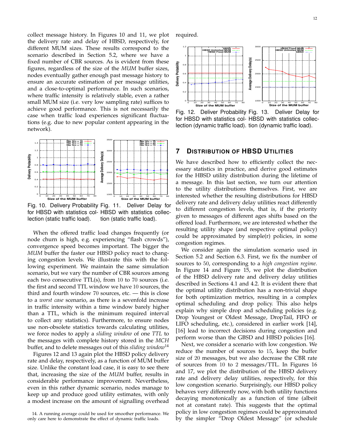collect message history. In Figures 10 and 11, we plot the delivery rate and delay of HBSD, respectively, for different MUM sizes. These results correspond to the scenario described in Section 5.2, where we have a fixed number of CBR sources. As is evident from these figures, regardless of the size of the *MUM* buffer sizes, nodes eventually gather enough past message history to ensure an accurate estimation of per message utilities, and a close-to-optimal performance. In such scenarios, where traffic intensity is relatively stable, even a rather small MUM size (i.e. very low sampling rate) suffices to achieve good performance. This is not necessarily the case when traffic load experiences significant fluctuations (e.g. due to new popular content appearing in the network).



Fig. 10. Delivery Probability Fig. 11. Deliver Delay for for HBSD with statistics col-HBSD with statistics colleclection (static traffic load). tion (static traffic load).

When the offered traffic load changes frequently (or node churn is high, e.g. experiencing "flash crowds"), convergence speed becomes important. The bigger the *MUM* buffer the faster our HBSD policy react to changing congestion levels. We illustrate this with the following experiment. We maintain the same simulation scenario, but we vary the number of CBR sources among each two consecutive TTL(s), from 10 to 70 sources (i.e. the first and second TTL window we have 10 sources, the third and fourth window 70 sources, etc. — this is close to a *worst case* scenario, as there is a sevenfold increase in traffic intensity within a time window barely higher than a TTL, which is the minimum required interval to collect any statistics). Furthermore, to ensure nodes use non-obsolete statistics towards calculating utilities, we force nodes to apply a *sliding window* of one *TTL* to the messages with complete history stored in the *MCH* buffer, and to delete messages out of this *sliding window*<sup>14</sup>

Figures 12 and 13 again plot the HBSD policy delivery rate and delay, respectively, as a function of MUM buffer size. Unlike the constant load case, it is easy to see there that, increasing the size of the *MUM* buffer, results in considerable performance improvement. Nevertheless, even in this rather dynamic scenario, nodes manage to keep up and produce good utility estimates, with only a modest increase on the amount of signalling overhead

14. A running average could be used for smoother performance. We only care here to demonstrate the effect of dynamic traffic loads.

required.



Fig. 12. Deliver Probability Fig. 13. for HBSD with statistics col-HBSD with statistics colleclection (dynamic traffic load). tion (dynamic traffic load). Deliver Delay for

#### **7 DISTRIBUTION OF HBSD UTILITIES**

We have described how to efficiently collect the necessary statistics in practice, and derive good estimates for the HBSD utility distribution during the lifetime of a message. In this last section, we turn our attention to the utility distributions themselves. First, we are interested whether the resulting distributions for HBSD delivery rate and delivery delay utilities react differently to different congestion levels, that is, if the priority given to messages of different ages shifts based on the offered load. Furthermore, we are interested whether the resulting utility shape (and respective optimal policy) could be approximated by simple(r) policies, in some congestion regimes.

We consider again the simulation scenario used in Section 5.2 and Section 6.3. First, we fix the number of sources to 50, corresponding to a *high congestion regime*. In Figure 14 and Figure 15, we plot the distribution of the HBSD delivery rate and delivery delay utilities described in Sections 4.1 and 4.2. It is evident there that the optimal utility distribution has a non-trivial shape for both optimization metrics, resulting in a complex optimal scheduling and drop policy. This also helps explain why simple drop and scheduling policies (e.g. Drop Youngest or Oldest Message, DropTail, FIFO or LIFO scheduling, etc.), considered in earlier work [14], [16] lead to incorrect decisions during congestion and perform worse than the GBSD and HBSD policies [16].

Next, we consider a scenario with low congestion. We reduce the number of sources to 15, keep the buffer size of 20 messages, but we also decrease the CBR rate of sources from 10 to 2 messages/TTL. In Figures 16 and 17, we plot the distribution of the HBSD delivery rate and delivery delay utilities, respectively, for this low congestion scenario. Surprisingly, our HBSD policy behaves very differently now, with both utility functions decaying monotonically as a function of time (albeit not at constant rate). This suggests that the optimal policy in low congestion regimes could be approximated by the simpler "Drop Oldest Message" (or schedule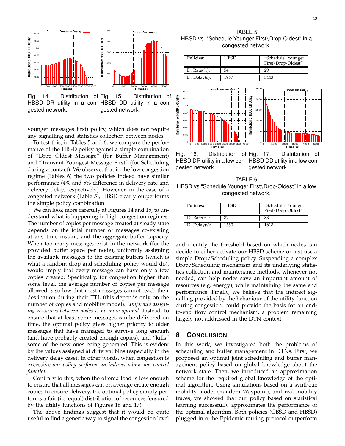

Fig. 14. Distribution of Fig. 15. HBSD DR utility in a con-HBSD DD utility in a congested network. Distribution of gested network.

younger messages first) policy, which does not require any signalling and statistics collection between nodes.

To test this, in Tables 5 and 6, we compare the performance of the HBSD policy against a simple combination of "Drop Oldest Message" (for Buffer Management) and "Transmit Youngest Message First" (for Scheduling during a contact). We observe, that in the low congestion regime (Tables 6) the two policies indeed have similar performance (4% and 5% difference in delivery rate and delivery delay, respectively). However, in the case of a congested network (Table 5), HBSD clearly outperforms the simple policy combination.

We can look more carefully at Figures 14 and 15, to understand what is happening in high congestion regimes. The number of copies per message created at steady state depends on the total number of messages co-existing at any time instant, and the aggregate buffer capacity. When too many messages exist in the network (for the provided buffer space per node), uniformly assigning the available messages to the existing buffers (which is what a random drop and scheduling policy would do), would imply that every message can have only a few copies created. Specifically, for congestion higher than some level, the average number of copies per message allowed is so low that most messages cannot reach their destination during their TTL (this depends only on the number of copies and mobility model). *Uniformly assigning resources between nodes is no more optimal*. Instead, to ensure that at least some messages can be delivered on time, the optimal policy gives higher priority to older messages that have managed to survive long enough (and have probably created enough copies), and "kills" some of the new ones being generated. This is evident by the values assigned at different bins (especially in the delivery delay case). In other words, when congestion is excessive *our policy performs an indirect admission control function.*

Contrary to this, when the offered load is low enough to ensure that all messages can on average create enough copies to ensure delivery, the optimal policy simply performs a fair (i.e. equal) distribution of resources (ensured by the utility functions of Figures 16 and 17).

The above findings suggest that it would be quite useful to find a generic way to signal the congestion level

TABLE 5 HBSD vs. "Schedule Younger First\Drop-Oldest" in a congested network.



Fig. 16. Distribution of Fig. 17. HBSD DR utility in a low con-HBSD DD utility in a low congested network. Distribution of gested network.

TABLE 6 HBSD vs "Schedule Younger First\Drop-Oldest" in a low congested network.

| Policies:          | <b>HBSD</b> | "Schedule Younger<br>First\Drop-Oldest" |
|--------------------|-------------|-----------------------------------------|
| D. Rate $(\%):$    | 87          | 83                                      |
| $D.$ Delay $(s)$ : | 1530        | 1618                                    |

and identify the threshold based on which nodes can decide to either activate our HBSD scheme or just use a simple Drop/Scheduling policy. Suspending a complex Drop/Scheduling mechanism and its underlying statistics collection and maintenance methods, whenever not needed, can help nodes save an important amount of resources (e.g. energy), while maintaining the same end performance. Finally, we believe that the indirect signalling provided by the behaviour of the utility function during congestion, could provide the basis for an endto-end flow control mechanism, a problem remaining largely not addressed in the DTN context.

#### **8 CONCLUSION**

In this work, we investigated both the problems of scheduling and buffer management in DTNs. First, we proposed an optimal joint scheduling and buffer management policy based on global knowledge about the network state. Then, we introduced an approximation scheme for the required global knowledge of the optimal algorithm. Using simulations based on a synthetic mobility model (Random Waypoint), and real mobility traces, we showed that our policy based on statistical learning successfully approximates the performance of the optimal algorithm. Both policies (GBSD and HBSD) plugged into the Epidemic routing protocol outperform